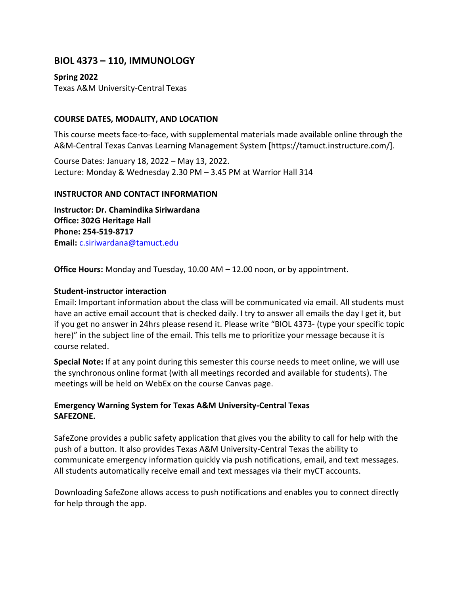# **BIOL 4373 – 110, IMMUNOLOGY**

**Spring 2022**

Texas A&M University-Central Texas

## **COURSE DATES, MODALITY, AND LOCATION**

This course meets face-to-face, with supplemental materials made available online through the A&M-Central Texas Canvas Learning Management System [https://tamuct.instructure.com/].

Course Dates: January 18, 2022 – May 13, 2022. Lecture: Monday & Wednesday 2.30 PM – 3.45 PM at Warrior Hall 314

## **INSTRUCTOR AND CONTACT INFORMATION**

**Instructor: Dr. Chamindika Siriwardana Office: 302G Heritage Hall Phone: 254-519-8717 Email:** [c.siriwardana@tamuct.edu](mailto:c.siriwardana@tamuct.edu)

**Office Hours:** Monday and Tuesday, 10.00 AM – 12.00 noon, or by appointment.

## **Student-instructor interaction**

Email: Important information about the class will be communicated via email. All students must have an active email account that is checked daily. I try to answer all emails the day I get it, but if you get no answer in 24hrs please resend it. Please write "BIOL 4373- (type your specific topic here)" in the subject line of the email. This tells me to prioritize your message because it is course related.

**Special Note:** If at any point during this semester this course needs to meet online, we will use the synchronous online format (with all meetings recorded and available for students). The meetings will be held on WebEx on the course Canvas page.

## **Emergency Warning System for Texas A&M University-Central Texas SAFEZONE.**

SafeZone provides a public safety application that gives you the ability to call for help with the push of a button. It also provides Texas A&M University-Central Texas the ability to communicate emergency information quickly via push notifications, email, and text messages. All students automatically receive email and text messages via their myCT accounts.

Downloading SafeZone allows access to push notifications and enables you to connect directly for help through the app.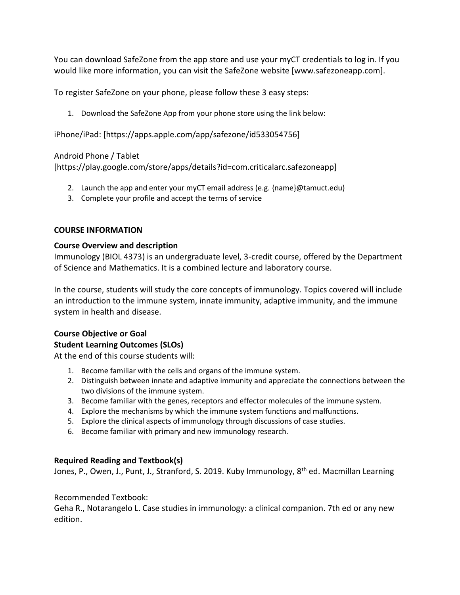You can download SafeZone from the app store and use your myCT credentials to log in. If you would like more information, you can visit the [SafeZone](https://nam04.safelinks.protection.outlook.com/?url=http%3A%2F%2Fwww.safezoneapp.com%2F&data=04%7C01%7Cc.siriwardana%40tamuct.edu%7C6a5fdb8c057b47f443bd08d9c3cb8f8e%7C9eed4e3000f744849ff193ad8005acec%7C0%7C0%7C637756101310352336%7CUnknown%7CTWFpbGZsb3d8eyJWIjoiMC4wLjAwMDAiLCJQIjoiV2luMzIiLCJBTiI6Ik1haWwiLCJXVCI6Mn0%3D%7C3000&sdata=gfLzBQTdcdbdJcnbh5CV%2FLfedLoUwlTnURONtcHQ4G4%3D&reserved=0) website [www.safezoneapp.com].

To register SafeZone on your phone, please follow these 3 easy steps:

1. Download the SafeZone App from your phone store using the link below:

[iPhone/iPad:](https://nam04.safelinks.protection.outlook.com/?url=https%3A%2F%2Fapps.apple.com%2Fapp%2Fsafezone%2Fid533054756&data=04%7C01%7Cc.siriwardana%40tamuct.edu%7C6a5fdb8c057b47f443bd08d9c3cb8f8e%7C9eed4e3000f744849ff193ad8005acec%7C0%7C0%7C637756101310352336%7CUnknown%7CTWFpbGZsb3d8eyJWIjoiMC4wLjAwMDAiLCJQIjoiV2luMzIiLCJBTiI6Ik1haWwiLCJXVCI6Mn0%3D%7C3000&sdata=ePeSdoNCIg1%2BsEUSUwKJe5R5KpJuZz2o9HVBq0rHQk4%3D&reserved=0) [https://apps.apple.com/app/safezone/id533054756]

## [Android Phone / Tablet](https://nam04.safelinks.protection.outlook.com/?url=https%3A%2F%2Fplay.google.com%2Fstore%2Fapps%2Fdetails%3Fid%3Dcom.criticalarc.safezoneapp&data=04%7C01%7Cc.siriwardana%40tamuct.edu%7C6a5fdb8c057b47f443bd08d9c3cb8f8e%7C9eed4e3000f744849ff193ad8005acec%7C0%7C0%7C637756101310352336%7CUnknown%7CTWFpbGZsb3d8eyJWIjoiMC4wLjAwMDAiLCJQIjoiV2luMzIiLCJBTiI6Ik1haWwiLCJXVCI6Mn0%3D%7C3000&sdata=zp%2FTmgPo7XoqVvqMVGN%2FAEiVViKgd0bzwBosRmBYgn4%3D&reserved=0)

[https://play.google.com/store/apps/details?id=com.criticalarc.safezoneapp]

- 2. Launch the app and enter your myCT email address (e.g.  ${name}$ ) $\emptyset$ tamuct.edu)
- 3. Complete your profile and accept the terms of service

## **COURSE INFORMATION**

## **Course Overview and description**

Immunology (BIOL 4373) is an undergraduate level, 3-credit course, offered by the Department of Science and Mathematics. It is a combined lecture and laboratory course.

In the course, students will study the core concepts of immunology. Topics covered will include an introduction to the immune system, innate immunity, adaptive immunity, and the immune system in health and disease.

## **Course Objective or Goal Student Learning Outcomes (SLOs)**

At the end of this course students will:

- 1. Become familiar with the cells and organs of the immune system.
- 2. Distinguish between innate and adaptive immunity and appreciate the connections between the two divisions of the immune system.
- 3. Become familiar with the genes, receptors and effector molecules of the immune system.
- 4. Explore the mechanisms by which the immune system functions and malfunctions.
- 5. Explore the clinical aspects of immunology through discussions of case studies.
- 6. Become familiar with primary and new immunology research.

## **Required Reading and Textbook(s)**

Jones, P., Owen, J., Punt, J., Stranford, S. 2019. Kuby Immunology, 8<sup>th</sup> ed. Macmillan Learning

## Recommended Textbook:

Geha R., Notarangelo L. Case studies in immunology: a clinical companion. 7th ed or any new edition.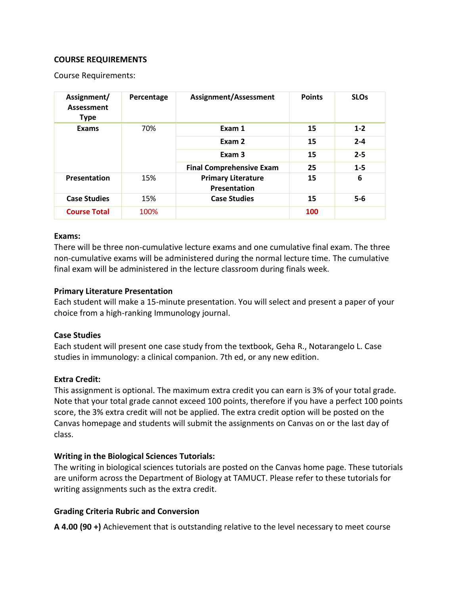### **COURSE REQUIREMENTS**

Course Requirements:

| Assignment/<br><b>Assessment</b><br><b>Type</b> | Percentage | Assignment/Assessment                     | <b>Points</b> | <b>SLOs</b> |
|-------------------------------------------------|------------|-------------------------------------------|---------------|-------------|
| <b>Exams</b>                                    | 70%        | Exam 1                                    | 15            | $1 - 2$     |
|                                                 |            | Exam 2                                    | 15            | $2 - 4$     |
|                                                 |            | Exam <sub>3</sub>                         | 15            | $2 - 5$     |
|                                                 |            | <b>Final Comprehensive Exam</b>           | 25            | $1 - 5$     |
| Presentation                                    | 15%        | <b>Primary Literature</b><br>Presentation | 15            | 6           |
| <b>Case Studies</b>                             | 15%        | <b>Case Studies</b>                       | 15            | $5-6$       |
| <b>Course Total</b>                             | 100%       |                                           | 100           |             |

#### **Exams:**

There will be three non-cumulative lecture exams and one cumulative final exam. The three non-cumulative exams will be administered during the normal lecture time. The cumulative final exam will be administered in the lecture classroom during finals week.

### **Primary Literature Presentation**

Each student will make a 15-minute presentation. You will select and present a paper of your choice from a high-ranking Immunology journal.

### **Case Studies**

Each student will present one case study from the textbook, Geha R., Notarangelo L. Case studies in immunology: a clinical companion. 7th ed, or any new edition.

### **Extra Credit:**

This assignment is optional. The maximum extra credit you can earn is 3% of your total grade. Note that your total grade cannot exceed 100 points, therefore if you have a perfect 100 points score, the 3% extra credit will not be applied. The extra credit option will be posted on the Canvas homepage and students will submit the assignments on Canvas on or the last day of class.

### **Writing in the Biological Sciences Tutorials:**

The writing in biological sciences tutorials are posted on the Canvas home page. These tutorials are uniform across the Department of Biology at TAMUCT. Please refer to these tutorials for writing assignments such as the extra credit.

### **Grading Criteria Rubric and Conversion**

**A 4.00 (90 +)** Achievement that is outstanding relative to the level necessary to meet course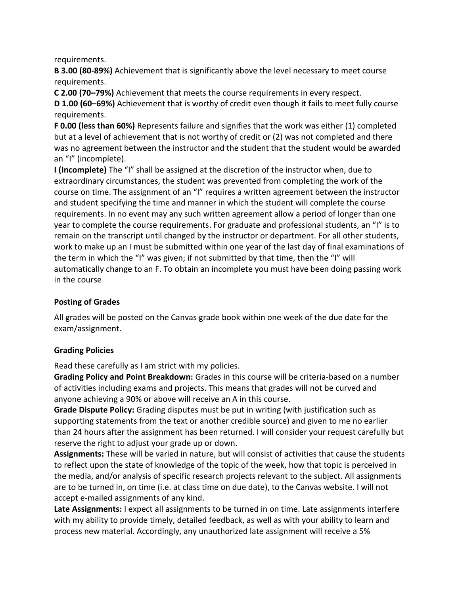requirements.

**B 3.00 (80-89%)** Achievement that is significantly above the level necessary to meet course requirements.

**C 2.00 (70–79%)** Achievement that meets the course requirements in every respect.

**D 1.00 (60–69%)** Achievement that is worthy of credit even though it fails to meet fully course requirements.

**F 0.00 (less than 60%)** Represents failure and signifies that the work was either (1) completed but at a level of achievement that is not worthy of credit or (2) was not completed and there was no agreement between the instructor and the student that the student would be awarded an "I" (incomplete).

**I (Incomplete)** The "I" shall be assigned at the discretion of the instructor when, due to extraordinary circumstances, the student was prevented from completing the work of the course on time. The assignment of an "I" requires a written agreement between the instructor and student specifying the time and manner in which the student will complete the course requirements. In no event may any such written agreement allow a period of longer than one year to complete the course requirements. For graduate and professional students, an "I" is to remain on the transcript until changed by the instructor or department. For all other students, work to make up an I must be submitted within one year of the last day of final examinations of the term in which the "I" was given; if not submitted by that time, then the "I" will automatically change to an F. To obtain an incomplete you must have been doing passing work in the course

## **Posting of Grades**

All grades will be posted on the Canvas grade book within one week of the due date for the exam/assignment.

### **Grading Policies**

Read these carefully as I am strict with my policies.

**Grading Policy and Point Breakdown:** Grades in this course will be criteria-based on a number of activities including exams and projects. This means that grades will not be curved and anyone achieving a 90% or above will receive an A in this course.

**Grade Dispute Policy:** Grading disputes must be put in writing (with justification such as supporting statements from the text or another credible source) and given to me no earlier than 24 hours after the assignment has been returned. I will consider your request carefully but reserve the right to adjust your grade up or down.

**Assignments:** These will be varied in nature, but will consist of activities that cause the students to reflect upon the state of knowledge of the topic of the week, how that topic is perceived in the media, and/or analysis of specific research projects relevant to the subject. All assignments are to be turned in, on time (i.e. at class time on due date), to the Canvas website. I will not accept e-mailed assignments of any kind.

**Late Assignments:** I expect all assignments to be turned in on time. Late assignments interfere with my ability to provide timely, detailed feedback, as well as with your ability to learn and process new material. Accordingly, any unauthorized late assignment will receive a 5%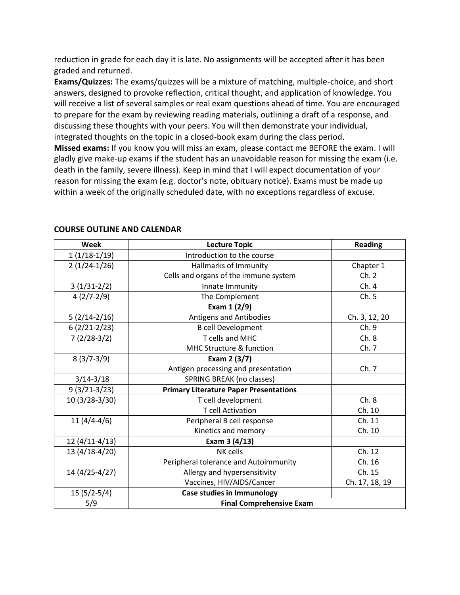reduction in grade for each day it is late. No assignments will be accepted after it has been graded and returned.

**Exams/Quizzes:** The exams/quizzes will be a mixture of matching, multiple-choice, and short answers, designed to provoke reflection, critical thought, and application of knowledge. You will receive a list of several samples or real exam questions ahead of time. You are encouraged to prepare for the exam by reviewing reading materials, outlining a draft of a response, and discussing these thoughts with your peers. You will then demonstrate your individual, integrated thoughts on the topic in a closed-book exam during the class period.

**Missed exams:** If you know you will miss an exam, please contact me BEFORE the exam. I will gladly give make-up exams if the student has an unavoidable reason for missing the exam (i.e. death in the family, severe illness). Keep in mind that I will expect documentation of your reason for missing the exam (e.g. doctor's note, obituary notice). Exams must be made up within a week of the originally scheduled date, with no exceptions regardless of excuse.

| <b>Week</b>     | <b>Lecture Topic</b>                          | <b>Reading</b> |
|-----------------|-----------------------------------------------|----------------|
| $1(1/18-1/19)$  | Introduction to the course                    |                |
| $2(1/24-1/26)$  | Hallmarks of Immunity                         | Chapter 1      |
|                 | Cells and organs of the immune system         | Ch.2           |
| $3(1/31-2/2)$   | Innate Immunity                               | Ch.4           |
| $4(2/7-2/9)$    | The Complement                                | Ch.5           |
|                 | Exam 1 (2/9)                                  |                |
| $5(2/14-2/16)$  | Antigens and Antibodies                       | Ch. 3, 12, 20  |
| $6(2/21-2/23)$  | <b>B</b> cell Development                     | Ch. 9          |
| $7(2/28-3/2)$   | T cells and MHC                               | Ch.8           |
|                 | MHC Structure & function                      | Ch. 7          |
| $8(3/7-3/9)$    | Exam 2 (3/7)                                  |                |
|                 | Antigen processing and presentation           | Ch.7           |
| $3/14 - 3/18$   | SPRING BREAK (no classes)                     |                |
| $9(3/21-3/23)$  | <b>Primary Literature Paper Presentations</b> |                |
| 10 (3/28-3/30)  | T cell development                            | Ch.8           |
|                 | <b>T</b> cell Activation                      | Ch. 10         |
| $11(4/4-4/6)$   | Peripheral B cell response                    | Ch. 11         |
|                 | Kinetics and memory                           | Ch. 10         |
| $12(4/11-4/13)$ | Exam 3 (4/13)                                 |                |
| 13 (4/18-4/20)  | NK cells                                      | Ch. 12         |
|                 | Peripheral tolerance and Autoimmunity         | Ch. 16         |
| 14 (4/25-4/27)  | Allergy and hypersensitivity                  | Ch. 15         |
|                 | Vaccines, HIV/AIDS/Cancer                     | Ch. 17, 18, 19 |
| $15(5/2-5/4)$   | <b>Case studies in Immunology</b>             |                |
| 5/9             | <b>Final Comprehensive Exam</b>               |                |

#### **COURSE OUTLINE AND CALENDAR**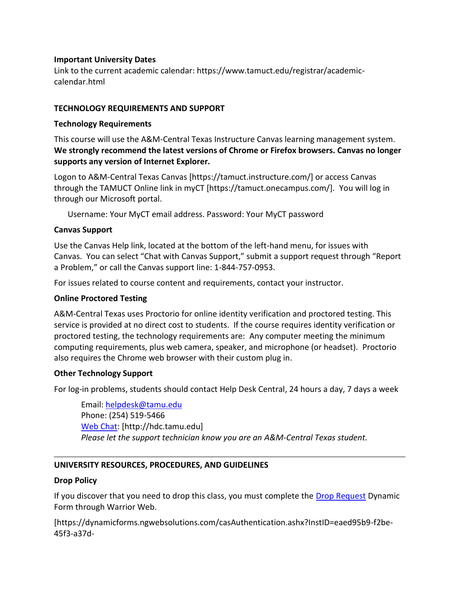### **Important University Dates**

Link to the current academic calendar: https://www.tamuct.edu/registrar/academiccalendar.html

## **TECHNOLOGY REQUIREMENTS AND SUPPORT**

## **Technology Requirements**

This course will use the A&M-Central Texas Instructure Canvas learning management system. **We strongly recommend the latest versions of Chrome or Firefox browsers. Canvas no longer supports any version of Internet Explorer.**

Logon to A&M-Central Texas Canvas [https://tamuct.instructure.com/] or access Canvas through the TAMUCT Online link in myCT [https://tamuct.onecampus.com/]. You will log in through our Microsoft portal.

Username: Your MyCT email address. Password: Your MyCT password

## **Canvas Support**

Use the Canvas Help link, located at the bottom of the left-hand menu, for issues with Canvas. You can select "Chat with Canvas Support," submit a support request through "Report a Problem," or call the Canvas support line: 1-844-757-0953.

For issues related to course content and requirements, contact your instructor.

### **Online Proctored Testing**

A&M-Central Texas uses Proctorio for online identity verification and proctored testing. This service is provided at no direct cost to students. If the course requires identity verification or proctored testing, the technology requirements are: Any computer meeting the minimum computing requirements, plus web camera, speaker, and microphone (or headset). Proctorio also requires the Chrome web browser with their custom plug in.

## **Other Technology Support**

For log-in problems, students should contact Help Desk Central, 24 hours a day, 7 days a week

Email: [helpdesk@tamu.edu](mailto:helpdesk@tamu.edu) Phone: (254) 519-5466 [Web Chat:](http://hdc.tamu.edu/) [http://hdc.tamu.edu] *Please let the support technician know you are an A&M-Central Texas student.*

## **UNIVERSITY RESOURCES, PROCEDURES, AND GUIDELINES**

## **Drop Policy**

If you discover that you need to drop this class, you must complete the [Drop Request](https://dynamicforms.ngwebsolutions.com/casAuthentication.ashx?InstID=eaed95b9-f2be-45f3-a37d-46928168bc10&targetUrl=https%3A%2F%2Fdynamicforms.ngwebsolutions.com%2FSubmit%2FForm%2FStart%2F53b8369e-0502-4f36-be43-f02a4202f612) Dynamic Form through Warrior Web.

[https://dynamicforms.ngwebsolutions.com/casAuthentication.ashx?InstID=eaed95b9-f2be-45f3-a37d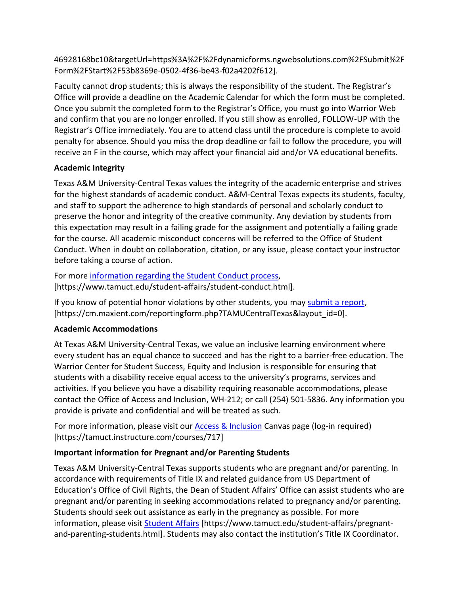46928168bc10&targetUrl=https%3A%2F%2Fdynamicforms.ngwebsolutions.com%2FSubmit%2F Form%2FStart%2F53b8369e-0502-4f36-be43-f02a4202f612].

Faculty cannot drop students; this is always the responsibility of the student. The Registrar's Office will provide a deadline on the Academic Calendar for which the form must be completed. Once you submit the completed form to the Registrar's Office, you must go into Warrior Web and confirm that you are no longer enrolled. If you still show as enrolled, FOLLOW-UP with the Registrar's Office immediately. You are to attend class until the procedure is complete to avoid penalty for absence. Should you miss the drop deadline or fail to follow the procedure, you will receive an F in the course, which may affect your financial aid and/or VA educational benefits.

## **Academic Integrity**

Texas A&M University-Central Texas values the integrity of the academic enterprise and strives for the highest standards of academic conduct. A&M-Central Texas expects its students, faculty, and staff to support the adherence to high standards of personal and scholarly conduct to preserve the honor and integrity of the creative community. Any deviation by students from this expectation may result in a failing grade for the assignment and potentially a failing grade for the course. All academic misconduct concerns will be referred to the Office of Student Conduct. When in doubt on collaboration, citation, or any issue, please contact your instructor before taking a course of action.

For more [information](https://nam04.safelinks.protection.outlook.com/?url=https%3A%2F%2Fwww.tamuct.edu%2Fstudent-affairs%2Fstudent-conduct.html&data=04%7C01%7Clisa.bunkowski%40tamuct.edu%7Ccfb6e486f24745f53e1a08d910055cb2%7C9eed4e3000f744849ff193ad8005acec%7C0%7C0%7C637558437485252160%7CUnknown%7CTWFpbGZsb3d8eyJWIjoiMC4wLjAwMDAiLCJQIjoiV2luMzIiLCJBTiI6Ik1haWwiLCJXVCI6Mn0%3D%7C1000&sdata=yjftDEVHvLX%2FhM%2FcFU0B99krV1RgEWR%2BJ%2BhvtoR6TYk%3D&reserved=0) regarding the Student Conduct process, [https://www.tamuct.edu/student-affairs/student-conduct.html].

If you know of potential honor violations by other students, you may [submit](https://nam04.safelinks.protection.outlook.com/?url=https%3A%2F%2Fcm.maxient.com%2Freportingform.php%3FTAMUCentralTexas%26layout_id%3D0&data=04%7C01%7Clisa.bunkowski%40tamuct.edu%7Ccfb6e486f24745f53e1a08d910055cb2%7C9eed4e3000f744849ff193ad8005acec%7C0%7C0%7C637558437485262157%7CUnknown%7CTWFpbGZsb3d8eyJWIjoiMC4wLjAwMDAiLCJQIjoiV2luMzIiLCJBTiI6Ik1haWwiLCJXVCI6Mn0%3D%7C1000&sdata=CXGkOa6uPDPX1IMZ87z3aZDq2n91xfHKu4MMS43Ejjk%3D&reserved=0) a report, [https://cm.maxient.com/reportingform.php?TAMUCentralTexas&layout\_id=0].

## **Academic Accommodations**

At Texas A&M University-Central Texas, we value an inclusive learning environment where every student has an equal chance to succeed and has the right to a barrier-free education. The Warrior Center for Student Success, Equity and Inclusion is responsible for ensuring that students with a disability receive equal access to the university's programs, services and activities. If you believe you have a disability requiring reasonable accommodations, please contact the Office of Access and Inclusion, WH-212; or call (254) 501-5836. Any information you provide is private and confidential and will be treated as such.

For more information, please visit our [Access & Inclusion](https://tamuct.instructure.com/courses/717) Canvas page (log-in required) [https://tamuct.instructure.com/courses/717]

## **Important information for Pregnant and/or Parenting Students**

Texas A&M University-Central Texas supports students who are pregnant and/or parenting. In accordance with requirements of Title IX and related guidance from US Department of Education's Office of Civil Rights, the Dean of Student Affairs' Office can assist students who are pregnant and/or parenting in seeking accommodations related to pregnancy and/or parenting. Students should seek out assistance as early in the pregnancy as possible. For more information, please visit [Student Affairs](https://www.tamuct.edu/student-affairs/pregnant-and-parenting-students.html) [https://www.tamuct.edu/student-affairs/pregnantand-parenting-students.html]. Students may also contact the institution's Title IX Coordinator.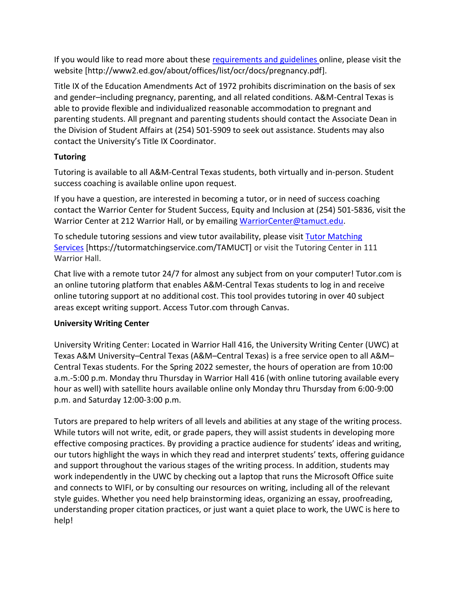If you would like to read more about these [requirements and guidelines](http://www2.ed.gov/about/offices/list/ocr/docs/pregnancy.pdf) online, please visit the website [http://www2.ed.gov/about/offices/list/ocr/docs/pregnancy.pdf].

Title IX of the Education Amendments Act of 1972 prohibits discrimination on the basis of sex and gender–including pregnancy, parenting, and all related conditions. A&M-Central Texas is able to provide flexible and individualized reasonable accommodation to pregnant and parenting students. All pregnant and parenting students should contact the Associate Dean in the Division of Student Affairs at (254) 501-5909 to seek out assistance. Students may also contact the University's Title IX Coordinator.

# **Tutoring**

Tutoring is available to all A&M-Central Texas students, both virtually and in-person. Student success coaching is available online upon request.

If you have a question, are interested in becoming a tutor, or in need of success coaching contact the Warrior Center for Student Success, Equity and Inclusion at (254) 501-5836, visit the Warrior Center at 212 Warrior Hall, or by emailing [WarriorCenter@tamuct.edu.](mailto:WarriorCenter@tamuct.edu)

To schedule tutoring sessions and view tutor availability, please visit Tutor [Matching](https://nam04.safelinks.protection.outlook.com/?url=http%3A%2F%2Fwww.tutormatchingservices.com%2FTAMUCT&data=04%7C01%7Clisa.bunkowski%40tamuct.edu%7C886784139069461670c308d9aa01f55e%7C9eed4e3000f744849ff193ad8005acec%7C0%7C0%7C637727747643427346%7CUnknown%7CTWFpbGZsb3d8eyJWIjoiMC4wLjAwMDAiLCJQIjoiV2luMzIiLCJBTiI6Ik1haWwiLCJXVCI6Mn0%3D%7C3000&sdata=D%2F8HN2bUT1lLPfs5qSqKYlwh8a7pZVy7isM2gppluQE%3D&reserved=0) [Services](https://nam04.safelinks.protection.outlook.com/?url=http%3A%2F%2Fwww.tutormatchingservices.com%2FTAMUCT&data=04%7C01%7Clisa.bunkowski%40tamuct.edu%7C886784139069461670c308d9aa01f55e%7C9eed4e3000f744849ff193ad8005acec%7C0%7C0%7C637727747643427346%7CUnknown%7CTWFpbGZsb3d8eyJWIjoiMC4wLjAwMDAiLCJQIjoiV2luMzIiLCJBTiI6Ik1haWwiLCJXVCI6Mn0%3D%7C3000&sdata=D%2F8HN2bUT1lLPfs5qSqKYlwh8a7pZVy7isM2gppluQE%3D&reserved=0) [https://tutormatchingservice.com/TAMUCT] or visit the Tutoring Center in 111 Warrior Hall.

Chat live with a remote tutor 24/7 for almost any subject from on your computer! Tutor.com is an online tutoring platform that enables A&M-Central Texas students to log in and receive online tutoring support at no additional cost. This tool provides tutoring in over 40 subject areas except writing support. Access Tutor.com through Canvas.

## **University Writing Center**

University Writing Center: Located in Warrior Hall 416, the University Writing Center (UWC) at Texas A&M University–Central Texas (A&M–Central Texas) is a free service open to all A&M– Central Texas students. For the Spring 2022 semester, the hours of operation are from 10:00 a.m.-5:00 p.m. Monday thru Thursday in Warrior Hall 416 (with online tutoring available every hour as well) with satellite hours available online only Monday thru Thursday from 6:00-9:00 p.m. and Saturday 12:00-3:00 p.m.

Tutors are prepared to help writers of all levels and abilities at any stage of the writing process. While tutors will not write, edit, or grade papers, they will assist students in developing more effective composing practices. By providing a practice audience for students' ideas and writing, our tutors highlight the ways in which they read and interpret students' texts, offering guidance and support throughout the various stages of the writing process. In addition, students may work independently in the UWC by checking out a laptop that runs the Microsoft Office suite and connects to WIFI, or by consulting our resources on writing, including all of the relevant style guides. Whether you need help brainstorming ideas, organizing an essay, proofreading, understanding proper citation practices, or just want a quiet place to work, the UWC is here to help!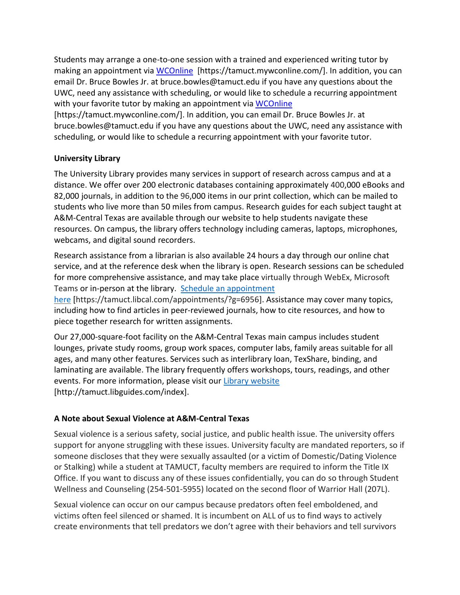Students may arrange a one-to-one session with a trained and experienced writing tutor by making an appointment via [WCOnline](https://tamuct.mywconline.com/) [https://tamuct.mywconline.com/]. In addition, you can email Dr. Bruce Bowles Jr. at bruce.bowles@tamuct.edu if you have any questions about the UWC, need any assistance with scheduling, or would like to schedule a recurring appointment with your favorite tutor by making an appointment via [WCOnline](https://tamuct.mywconline.com/)

[https://tamuct.mywconline.com/]. In addition, you can email Dr. Bruce Bowles Jr. at bruce.bowles@tamuct.edu if you have any questions about the UWC, need any assistance with scheduling, or would like to schedule a recurring appointment with your favorite tutor.

## **University Library**

The University Library provides many services in support of research across campus and at a distance. We offer over 200 electronic databases containing approximately 400,000 eBooks and 82,000 journals, in addition to the 96,000 items in our print collection, which can be mailed to students who live more than 50 miles from campus. Research guides for each subject taught at A&M-Central Texas are available through our website to help students navigate these resources. On campus, the library offers technology including cameras, laptops, microphones, webcams, and digital sound recorders.

Research assistance from a librarian is also available 24 hours a day through our online chat service, and at the reference desk when the library is open. Research sessions can be scheduled for more comprehensive assistance, and may take place virtually through WebEx, Microsoft Teams or in-person at the library. Schedule an [appointment](https://nam04.safelinks.protection.outlook.com/?url=https%3A%2F%2Ftamuct.libcal.com%2Fappointments%2F%3Fg%3D6956&data=04%7C01%7Clisa.bunkowski%40tamuct.edu%7Cde2c07d9f5804f09518008d9ab7ba6ff%7C9eed4e3000f744849ff193ad8005acec%7C0%7C0%7C637729369835011558%7CUnknown%7CTWFpbGZsb3d8eyJWIjoiMC4wLjAwMDAiLCJQIjoiV2luMzIiLCJBTiI6Ik1haWwiLCJXVCI6Mn0%3D%7C3000&sdata=KhtjgRSAw9aq%2FoBsB6wyu8b7PSuGN5EGPypzr3Ty2No%3D&reserved=0)

[here](https://nam04.safelinks.protection.outlook.com/?url=https%3A%2F%2Ftamuct.libcal.com%2Fappointments%2F%3Fg%3D6956&data=04%7C01%7Clisa.bunkowski%40tamuct.edu%7Cde2c07d9f5804f09518008d9ab7ba6ff%7C9eed4e3000f744849ff193ad8005acec%7C0%7C0%7C637729369835011558%7CUnknown%7CTWFpbGZsb3d8eyJWIjoiMC4wLjAwMDAiLCJQIjoiV2luMzIiLCJBTiI6Ik1haWwiLCJXVCI6Mn0%3D%7C3000&sdata=KhtjgRSAw9aq%2FoBsB6wyu8b7PSuGN5EGPypzr3Ty2No%3D&reserved=0) [https://tamuct.libcal.com/appointments/?g=6956]. Assistance may cover many topics, including how to find articles in peer-reviewed journals, how to cite resources, and how to piece together research for written assignments.

Our 27,000-square-foot facility on the A&M-Central Texas main campus includes student lounges, private study rooms, group work spaces, computer labs, family areas suitable for all ages, and many other features. Services such as interlibrary loan, TexShare, binding, and laminating are available. The library frequently offers workshops, tours, readings, and other events. For more information, please visit our Library [website](https://nam04.safelinks.protection.outlook.com/?url=https%3A%2F%2Ftamuct.libguides.com%2Findex&data=04%7C01%7Clisa.bunkowski%40tamuct.edu%7C7d8489e8839a4915335f08d916f067f2%7C9eed4e3000f744849ff193ad8005acec%7C0%7C0%7C637566044056484222%7CUnknown%7CTWFpbGZsb3d8eyJWIjoiMC4wLjAwMDAiLCJQIjoiV2luMzIiLCJBTiI6Ik1haWwiLCJXVCI6Mn0%3D%7C1000&sdata=2R755V6rcIyedGrd4Os5rkgn1PvhHKU3kUV1vBKiHFo%3D&reserved=0) [http://tamuct.libguides.com/index].

## **A Note about Sexual Violence at A&M-Central Texas**

Sexual violence is a serious safety, social justice, and public health issue. The university offers support for anyone struggling with these issues. University faculty are mandated reporters, so if someone discloses that they were sexually assaulted (or a victim of Domestic/Dating Violence or Stalking) while a student at TAMUCT, faculty members are required to inform the Title IX Office. If you want to discuss any of these issues confidentially, you can do so through Student Wellness and Counseling (254-501-5955) located on the second floor of Warrior Hall (207L).

Sexual violence can occur on our campus because predators often feel emboldened, and victims often feel silenced or shamed. It is incumbent on ALL of us to find ways to actively create environments that tell predators we don't agree with their behaviors and tell survivors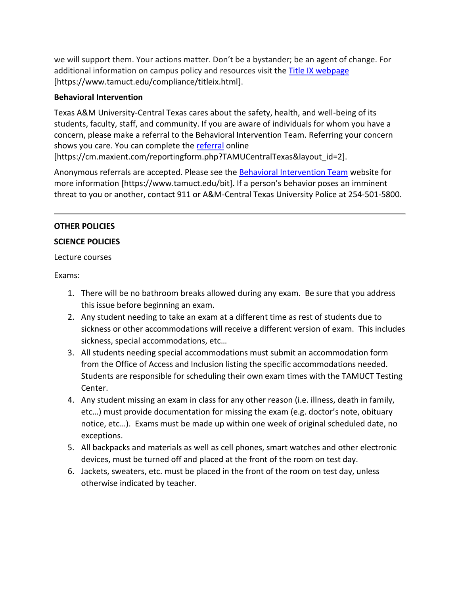we will support them. Your actions matter. Don't be a bystander; be an agent of change. For additional information on campus policy and resources visit the [Title IX webpage](https://www.tamuct.edu/compliance/titleix.html) [\[https://www.tamuct.edu/compliance/titleix.html\]](https://www.tamuct.edu/compliance/titleix.html).

## **Behavioral Intervention**

Texas A&M University-Central Texas cares about the safety, health, and well-being of its students, faculty, staff, and community. If you are aware of individuals for whom you have a concern, please make a referral to the Behavioral Intervention Team. Referring your concern shows you care. You can complete the [referral](https://cm.maxient.com/reportingform.php?TAMUCentralTexas&layout_id=2) online

[https://cm.maxient.com/reportingform.php?TAMUCentralTexas&layout\_id=2].

Anonymous referrals are accepted. Please see the [Behavioral Intervention Team](https://www.tamuct.edu/bit) website for more information [https://www.tamuct.edu/bit]. If a person's behavior poses an imminent threat to you or another, contact 911 or A&M-Central Texas University Police at 254-501-5800.

## **OTHER POLICIES**

## **SCIENCE POLICIES**

Lecture courses

Exams:

- 1. There will be no bathroom breaks allowed during any exam. Be sure that you address this issue before beginning an exam.
- 2. Any student needing to take an exam at a different time as rest of students due to sickness or other accommodations will receive a different version of exam. This includes sickness, special accommodations, etc…
- 3. All students needing special accommodations must submit an accommodation form from the Office of Access and Inclusion listing the specific accommodations needed. Students are responsible for scheduling their own exam times with the TAMUCT Testing Center.
- 4. Any student missing an exam in class for any other reason (i.e. illness, death in family, etc…) must provide documentation for missing the exam (e.g. doctor's note, obituary notice, etc…). Exams must be made up within one week of original scheduled date, no exceptions.
- 5. All backpacks and materials as well as cell phones, smart watches and other electronic devices, must be turned off and placed at the front of the room on test day.
- 6. Jackets, sweaters, etc. must be placed in the front of the room on test day, unless otherwise indicated by teacher.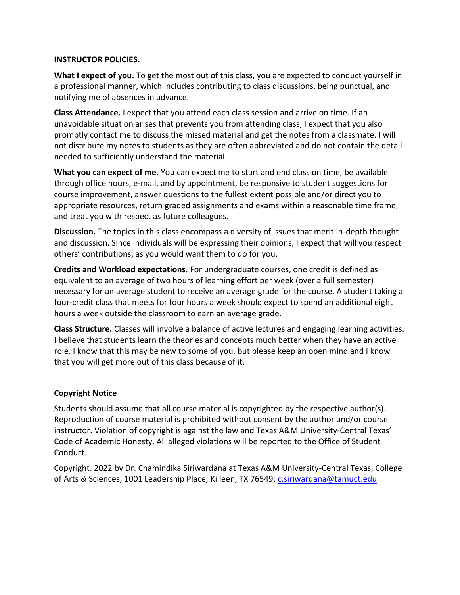### **INSTRUCTOR POLICIES.**

**What I expect of you.** To get the most out of this class, you are expected to conduct yourself in a professional manner, which includes contributing to class discussions, being punctual, and notifying me of absences in advance.

**Class Attendance.** I expect that you attend each class session and arrive on time. If an unavoidable situation arises that prevents you from attending class, I expect that you also promptly contact me to discuss the missed material and get the notes from a classmate. I will not distribute my notes to students as they are often abbreviated and do not contain the detail needed to sufficiently understand the material.

**What you can expect of me.** You can expect me to start and end class on time, be available through office hours, e-mail, and by appointment, be responsive to student suggestions for course improvement, answer questions to the fullest extent possible and/or direct you to appropriate resources, return graded assignments and exams within a reasonable time frame, and treat you with respect as future colleagues.

**Discussion.** The topics in this class encompass a diversity of issues that merit in-depth thought and discussion. Since individuals will be expressing their opinions, I expect that will you respect others' contributions, as you would want them to do for you.

**Credits and Workload expectations.** For undergraduate courses, one credit is defined as equivalent to an average of two hours of learning effort per week (over a full semester) necessary for an average student to receive an average grade for the course. A student taking a four-credit class that meets for four hours a week should expect to spend an additional eight hours a week outside the classroom to earn an average grade.

**Class Structure.** Classes will involve a balance of active lectures and engaging learning activities. I believe that students learn the theories and concepts much better when they have an active role. I know that this may be new to some of you, but please keep an open mind and I know that you will get more out of this class because of it.

## **Copyright Notice**

Students should assume that all course material is copyrighted by the respective author(s). Reproduction of course material is prohibited without consent by the author and/or course instructor. Violation of copyright is against the law and Texas A&M University-Central Texas' Code of Academic Honesty. All alleged violations will be reported to the Office of Student Conduct.

Copyright. 2022 by Dr. Chamindika Siriwardana at Texas A&M University-Central Texas, College of Arts & Sciences; 1001 Leadership Place, Killeen, TX 76549; [c.siriwardana@tamuct.edu](mailto:c.siriwardana@tamuct.edu)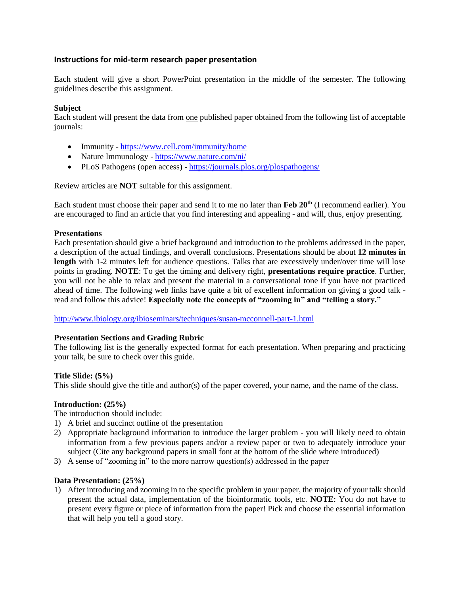#### **Instructions for mid-term research paper presentation**

Each student will give a short PowerPoint presentation in the middle of the semester. The following guidelines describe this assignment.

#### **Subject**

Each student will present the data from one published paper obtained from the following list of acceptable journals:

- Immunity <https://www.cell.com/immunity/home>
- Nature Immunology <https://www.nature.com/ni/>
- PLoS Pathogens (open access) <https://journals.plos.org/plospathogens/>

Review articles are **NOT** suitable for this assignment.

Each student must choose their paper and send it to me no later than **Feb 20th** (I recommend earlier). You are encouraged to find an article that you find interesting and appealing - and will, thus, enjoy presenting.

#### **Presentations**

Each presentation should give a brief background and introduction to the problems addressed in the paper, a description of the actual findings, and overall conclusions. Presentations should be about **12 minutes in**  length with 1-2 minutes left for audience questions. Talks that are excessively under/over time will lose points in grading. **NOTE**: To get the timing and delivery right, **presentations require practice**. Further, you will not be able to relax and present the material in a conversational tone if you have not practiced ahead of time. The following web links have quite a bit of excellent information on giving a good talk read and follow this advice! **Especially note the concepts of "zooming in" and "telling a story."**

<http://www.ibiology.org/ibioseminars/techniques/susan-mcconnell-part-1.html>

#### **Presentation Sections and Grading Rubric**

The following list is the generally expected format for each presentation. When preparing and practicing your talk, be sure to check over this guide.

#### **Title Slide: (5%)**

This slide should give the title and author(s) of the paper covered, your name, and the name of the class.

#### **Introduction: (25%)**

The introduction should include:

- 1) A brief and succinct outline of the presentation
- 2) Appropriate background information to introduce the larger problem you will likely need to obtain information from a few previous papers and/or a review paper or two to adequately introduce your subject (Cite any background papers in small font at the bottom of the slide where introduced)
- 3) A sense of "zooming in" to the more narrow question(s) addressed in the paper

#### **Data Presentation: (25%)**

1) After introducing and zooming in to the specific problem in your paper, the majority of your talk should present the actual data, implementation of the bioinformatic tools, etc. **NOTE**: You do not have to present every figure or piece of information from the paper! Pick and choose the essential information that will help you tell a good story.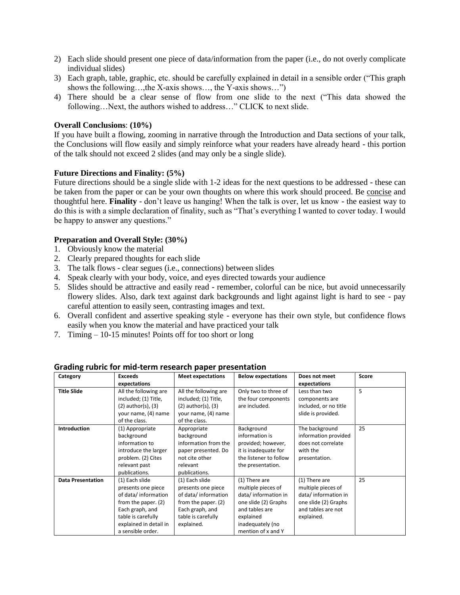- 2) Each slide should present one piece of data/information from the paper (i.e., do not overly complicate individual slides)
- 3) Each graph, table, graphic, etc. should be carefully explained in detail in a sensible order ("This graph shows the following…,the X-axis shows…, the Y-axis shows…")
- 4) There should be a clear sense of flow from one slide to the next ("This data showed the following…Next, the authors wished to address…" CLICK to next slide.

#### **Overall Conclusions**: **(10%)**

If you have built a flowing, zooming in narrative through the Introduction and Data sections of your talk, the Conclusions will flow easily and simply reinforce what your readers have already heard - this portion of the talk should not exceed 2 slides (and may only be a single slide).

#### **Future Directions and Finality: (5%)**

Future directions should be a single slide with 1-2 ideas for the next questions to be addressed - these can be taken from the paper or can be your own thoughts on where this work should proceed. Be concise and thoughtful here. **Finality** - don't leave us hanging! When the talk is over, let us know - the easiest way to do this is with a simple declaration of finality, such as "That's everything I wanted to cover today. I would be happy to answer any questions."

#### **Preparation and Overall Style: (30%)**

- 1. Obviously know the material
- 2. Clearly prepared thoughts for each slide
- 3. The talk flows clear segues (i.e., connections) between slides
- 4. Speak clearly with your body, voice, and eyes directed towards your audience
- 5. Slides should be attractive and easily read remember, colorful can be nice, but avoid unnecessarily flowery slides. Also, dark text against dark backgrounds and light against light is hard to see - pay careful attention to easily seen, contrasting images and text.
- 6. Overall confident and assertive speaking style everyone has their own style, but confidence flows easily when you know the material and have practiced your talk
- 7. Timing 10-15 minutes! Points off for too short or long

| Category                 | <b>Exceeds</b>                                                                                                                                                             | <b>Meet expectations</b>                                                                                                                  | <b>Below expectations</b>                                                                                                                                   | Does not meet                                                                                                          | Score |
|--------------------------|----------------------------------------------------------------------------------------------------------------------------------------------------------------------------|-------------------------------------------------------------------------------------------------------------------------------------------|-------------------------------------------------------------------------------------------------------------------------------------------------------------|------------------------------------------------------------------------------------------------------------------------|-------|
|                          | expectations                                                                                                                                                               |                                                                                                                                           |                                                                                                                                                             | expectations                                                                                                           |       |
| <b>Title Slide</b>       | All the following are<br>included; (1) Title,<br>$(2)$ author $(s)$ , $(3)$                                                                                                | All the following are<br>included; (1) Title,<br>$(2)$ author $(s)$ , $(3)$                                                               | Only two to three of<br>the four components<br>are included.                                                                                                | Less than two<br>components are<br>included, or no title                                                               | 5     |
|                          | your name, (4) name<br>of the class.                                                                                                                                       | your name, (4) name<br>of the class.                                                                                                      |                                                                                                                                                             | slide is provided.                                                                                                     |       |
| <b>Introduction</b>      | (1) Appropriate<br>background<br>information to<br>introduce the larger<br>problem. (2) Cites<br>relevant past<br>publications.                                            | Appropriate<br>background<br>information from the<br>paper presented. Do<br>not cite other<br>relevant<br>publications.                   | Background<br>information is<br>provided; however,<br>it is inadequate for<br>the listener to follow<br>the presentation.                                   | The background<br>information provided<br>does not correlate<br>with the<br>presentation.                              | 25    |
| <b>Data Presentation</b> | (1) Each slide<br>presents one piece<br>of data/information<br>from the paper. (2)<br>Each graph, and<br>table is carefully<br>explained in detail in<br>a sensible order. | (1) Each slide<br>presents one piece<br>of data/information<br>from the paper. (2)<br>Each graph, and<br>table is carefully<br>explained. | (1) There are<br>multiple pieces of<br>data/information in<br>one slide (2) Graphs<br>and tables are<br>explained<br>inadequately (no<br>mention of x and Y | (1) There are<br>multiple pieces of<br>data/information in<br>one slide (2) Graphs<br>and tables are not<br>explained. | 25    |

**Grading rubric for mid-term research paper presentation**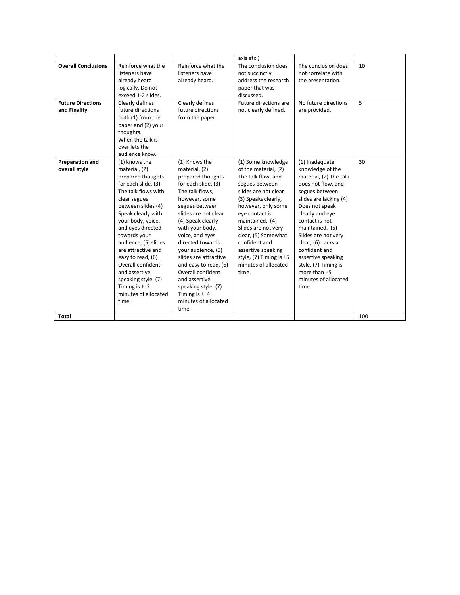|                            |                      |                       | axis etc.)                  |                        |     |
|----------------------------|----------------------|-----------------------|-----------------------------|------------------------|-----|
| <b>Overall Conclusions</b> | Reinforce what the   | Reinforce what the    | The conclusion does         | The conclusion does    | 10  |
|                            | listeners have       | listeners have        | not succinctly              | not correlate with     |     |
|                            | already heard        | already heard.        | address the research        | the presentation.      |     |
|                            | logically. Do not    |                       | paper that was              |                        |     |
|                            | exceed 1-2 slides.   |                       | discussed.                  |                        |     |
| <b>Future Directions</b>   | Clearly defines      | Clearly defines       | Future directions are       | No future directions   | 5   |
| and Finality               | future directions    | future directions     | not clearly defined.        | are provided.          |     |
|                            | both (1) from the    | from the paper.       |                             |                        |     |
|                            | paper and (2) your   |                       |                             |                        |     |
|                            | thoughts.            |                       |                             |                        |     |
|                            | When the talk is     |                       |                             |                        |     |
|                            | over lets the        |                       |                             |                        |     |
|                            | audience know.       |                       |                             |                        |     |
| <b>Preparation and</b>     | (1) knows the        | (1) Knows the         | (1) Some knowledge          | (1) Inadequate         | 30  |
| overall style              | material, (2)        | material, (2)         | of the material, (2)        | knowledge of the       |     |
|                            | prepared thoughts    | prepared thoughts     | The talk flow, and          | material, (2) The talk |     |
|                            | for each slide, (3)  | for each slide, (3)   | segues between              | does not flow, and     |     |
|                            | The talk flows with  | The talk flows,       | slides are not clear        | segues between         |     |
|                            | clear segues         | however, some         | (3) Speaks clearly,         | slides are lacking (4) |     |
|                            | between slides (4)   | segues between        | however, only some          | Does not speak         |     |
|                            | Speak clearly with   | slides are not clear  | eye contact is              | clearly and eye        |     |
|                            | your body, voice,    | (4) Speak clearly     | maintained. (4)             | contact is not         |     |
|                            | and eyes directed    | with your body,       | Slides are not very         | maintained. (5)        |     |
|                            | towards your         | voice, and eyes       | clear, (5) Somewhat         | Slides are not very    |     |
|                            | audience, (5) slides | directed towards      | confident and               | clear, (6) Lacks a     |     |
|                            | are attractive and   | your audience, (5)    | assertive speaking          | confident and          |     |
|                            | easy to read, (6)    | slides are attractive | style, $(7)$ Timing is $±5$ | assertive speaking     |     |
|                            | Overall confident    | and easy to read, (6) | minutes of allocated        | style, (7) Timing is   |     |
|                            | and assertive        | Overall confident     | time.                       | more than ±5           |     |
|                            | speaking style, (7)  | and assertive         |                             | minutes of allocated   |     |
|                            | Timing is $±$ 2      | speaking style, (7)   |                             | time.                  |     |
|                            | minutes of allocated | Timing is $±$ 4       |                             |                        |     |
|                            | time.                | minutes of allocated  |                             |                        |     |
|                            |                      | time.                 |                             |                        |     |
| Total                      |                      |                       |                             |                        | 100 |